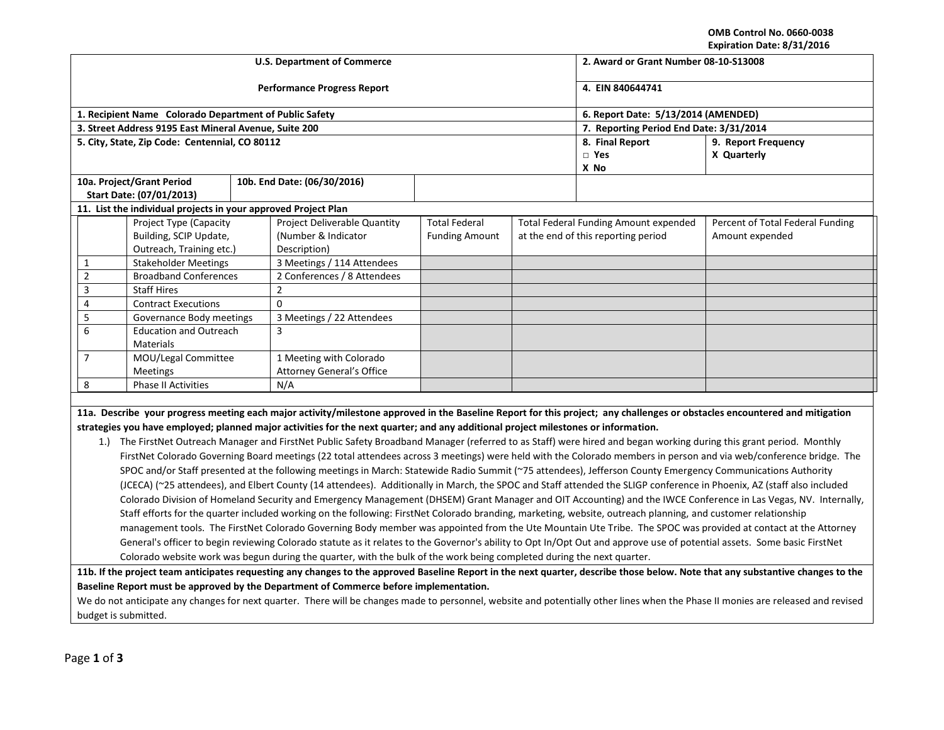**OMB Control No. 0660-0038 Expiration Date: 8/31/2016**

| EXPITATION DATE. 0/31/4010                                                                                                                                                      |                                                    |  |                                                                                                                                                                            |                                        |             |                                         |                                  |  |
|---------------------------------------------------------------------------------------------------------------------------------------------------------------------------------|----------------------------------------------------|--|----------------------------------------------------------------------------------------------------------------------------------------------------------------------------|----------------------------------------|-------------|-----------------------------------------|----------------------------------|--|
|                                                                                                                                                                                 |                                                    |  | <b>U.S. Department of Commerce</b>                                                                                                                                         | 2. Award or Grant Number 08-10-S13008  |             |                                         |                                  |  |
|                                                                                                                                                                                 |                                                    |  | <b>Performance Progress Report</b>                                                                                                                                         | 4. EIN 840644741                       |             |                                         |                                  |  |
| 1. Recipient Name Colorado Department of Public Safety                                                                                                                          |                                                    |  |                                                                                                                                                                            |                                        |             | 6. Report Date: 5/13/2014 (AMENDED)     |                                  |  |
| 3. Street Address 9195 East Mineral Avenue, Suite 200                                                                                                                           |                                                    |  |                                                                                                                                                                            |                                        |             | 7. Reporting Period End Date: 3/31/2014 |                                  |  |
| 5. City, State, Zip Code: Centennial, CO 80112                                                                                                                                  |                                                    |  |                                                                                                                                                                            | 8. Final Report<br>9. Report Frequency |             |                                         |                                  |  |
|                                                                                                                                                                                 |                                                    |  |                                                                                                                                                                            | $\square$ Yes                          | X Quarterly |                                         |                                  |  |
|                                                                                                                                                                                 |                                                    |  |                                                                                                                                                                            |                                        |             | X No                                    |                                  |  |
| 10a. Project/Grant Period                                                                                                                                                       |                                                    |  | 10b. End Date: (06/30/2016)                                                                                                                                                |                                        |             |                                         |                                  |  |
| Start Date: (07/01/2013)                                                                                                                                                        |                                                    |  |                                                                                                                                                                            |                                        |             |                                         |                                  |  |
| 11. List the individual projects in your approved Project Plan                                                                                                                  |                                                    |  |                                                                                                                                                                            |                                        |             |                                         |                                  |  |
|                                                                                                                                                                                 | Project Type (Capacity                             |  | Project Deliverable Quantity                                                                                                                                               | <b>Total Federal</b>                   |             | Total Federal Funding Amount expended   | Percent of Total Federal Funding |  |
|                                                                                                                                                                                 | Building, SCIP Update,<br>Outreach, Training etc.) |  | (Number & Indicator<br>Description)                                                                                                                                        | <b>Funding Amount</b>                  |             | at the end of this reporting period     | Amount expended                  |  |
| $\mathbf{1}$                                                                                                                                                                    | <b>Stakeholder Meetings</b>                        |  | 3 Meetings / 114 Attendees                                                                                                                                                 |                                        |             |                                         |                                  |  |
| $\overline{2}$                                                                                                                                                                  | <b>Broadband Conferences</b>                       |  | 2 Conferences / 8 Attendees                                                                                                                                                |                                        |             |                                         |                                  |  |
| 3<br><b>Staff Hires</b>                                                                                                                                                         |                                                    |  | $\overline{2}$                                                                                                                                                             |                                        |             |                                         |                                  |  |
| 4                                                                                                                                                                               | <b>Contract Executions</b>                         |  | $\Omega$                                                                                                                                                                   |                                        |             |                                         |                                  |  |
| 5                                                                                                                                                                               | Governance Body meetings                           |  | 3 Meetings / 22 Attendees                                                                                                                                                  |                                        |             |                                         |                                  |  |
| 6                                                                                                                                                                               | <b>Education and Outreach</b><br>Materials         |  | 3                                                                                                                                                                          |                                        |             |                                         |                                  |  |
| $\overline{7}$<br>MOU/Legal Committee                                                                                                                                           |                                                    |  | 1 Meeting with Colorado                                                                                                                                                    |                                        |             |                                         |                                  |  |
|                                                                                                                                                                                 | <b>Meetings</b>                                    |  | <b>Attorney General's Office</b>                                                                                                                                           |                                        |             |                                         |                                  |  |
| 8                                                                                                                                                                               | <b>Phase II Activities</b>                         |  | N/A                                                                                                                                                                        |                                        |             |                                         |                                  |  |
|                                                                                                                                                                                 |                                                    |  |                                                                                                                                                                            |                                        |             |                                         |                                  |  |
|                                                                                                                                                                                 |                                                    |  | 11a. Describe your progress meeting each major activity/milestone approved in the Baseline Report for this project; any challenges or obstacles encountered and mitigation |                                        |             |                                         |                                  |  |
| strategies you have employed; planned major activities for the next quarter; and any additional project milestones or information.                                              |                                                    |  |                                                                                                                                                                            |                                        |             |                                         |                                  |  |
| The FirstNet Outreach Manager and FirstNet Public Safety Broadband Manager (referred to as Staff) were hired and began working during this grant period. Monthly<br>1.1         |                                                    |  |                                                                                                                                                                            |                                        |             |                                         |                                  |  |
| FirstNet Colorado Governing Board meetings (22 total attendees across 3 meetings) were held with the Colorado members in person and via web/conference bridge. The              |                                                    |  |                                                                                                                                                                            |                                        |             |                                         |                                  |  |
| SPOC and/or Staff presented at the following meetings in March: Statewide Radio Summit (~75 attendees), Jefferson County Emergency Communications Authority                     |                                                    |  |                                                                                                                                                                            |                                        |             |                                         |                                  |  |
| (JCECA) (~25 attendees), and Elbert County (14 attendees). Additionally in March, the SPOC and Staff attended the SLIGP conference in Phoenix, AZ (staff also included          |                                                    |  |                                                                                                                                                                            |                                        |             |                                         |                                  |  |
| Colorado Division of Homeland Security and Emergency Management (DHSEM) Grant Manager and OIT Accounting) and the IWCE Conference in Las Vegas, NV. Internally,                 |                                                    |  |                                                                                                                                                                            |                                        |             |                                         |                                  |  |
| Staff efforts for the quarter included working on the following: FirstNet Colorado branding, marketing, website, outreach planning, and customer relationship                   |                                                    |  |                                                                                                                                                                            |                                        |             |                                         |                                  |  |
| management tools. The FirstNet Colorado Governing Body member was appointed from the Ute Mountain Ute Tribe. The SPOC was provided at contact at the Attorney                   |                                                    |  |                                                                                                                                                                            |                                        |             |                                         |                                  |  |
| General's officer to begin reviewing Colorado statute as it relates to the Governor's ability to Opt In/Opt Out and approve use of potential assets. Some basic FirstNet        |                                                    |  |                                                                                                                                                                            |                                        |             |                                         |                                  |  |
| Colorado website work was begun during the quarter, with the bulk of the work being completed during the next quarter.                                                          |                                                    |  |                                                                                                                                                                            |                                        |             |                                         |                                  |  |
| 11b. If the project team anticipates requesting any changes to the approved Baseline Report in the next quarter, describe those below. Note that any substantive changes to the |                                                    |  |                                                                                                                                                                            |                                        |             |                                         |                                  |  |
| Baseline Report must be approved by the Department of Commerce before implementation.                                                                                           |                                                    |  |                                                                                                                                                                            |                                        |             |                                         |                                  |  |

We do not anticipate any changes for next quarter. There will be changes made to personnel, website and potentially other lines when the Phase II monies are released and revised budget is submitted.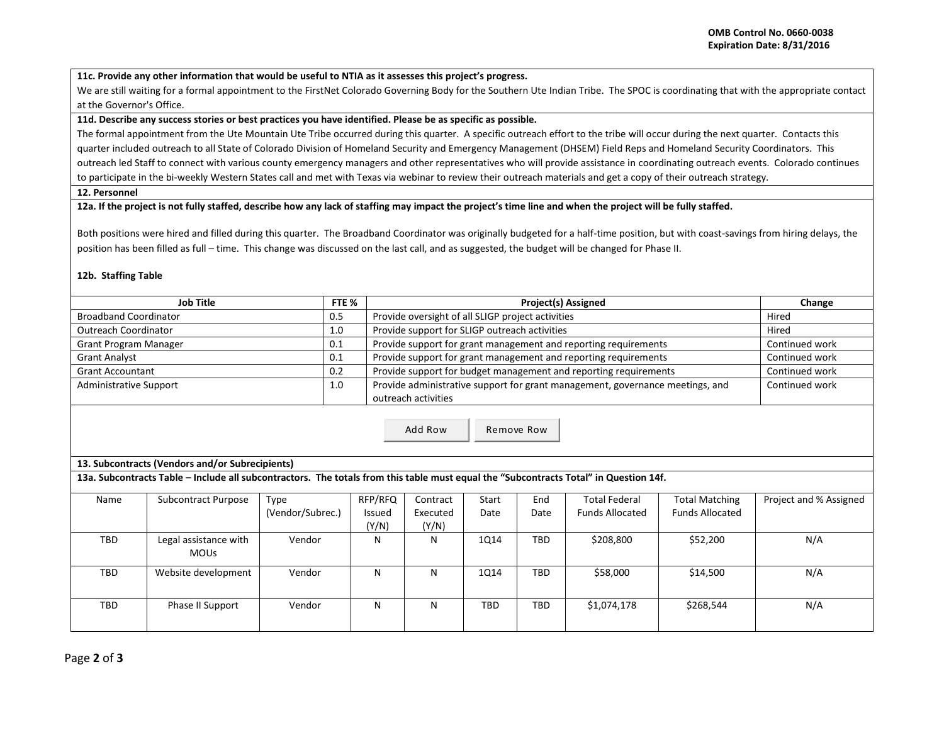**11c. Provide any other information that would be useful to NTIA as it assesses this project's progress.** 

We are still waiting for a formal appointment to the FirstNet Colorado Governing Body for the Southern Ute Indian Tribe. The SPOC is coordinating that with the appropriate contact at the Governor's Office.

### **11d. Describe any success stories or best practices you have identified. Please be as specific as possible.**

The formal appointment from the Ute Mountain Ute Tribe occurred during this quarter. A specific outreach effort to the tribe will occur during the next quarter. Contacts this quarter included outreach to all State of Colorado Division of Homeland Security and Emergency Management (DHSEM) Field Reps and Homeland Security Coordinators. This outreach led Staff to connect with various county emergency managers and other representatives who will provide assistance in coordinating outreach events. Colorado continues to participate in the bi-weekly Western States call and met with Texas via webinar to review their outreach materials and get a copy of their outreach strategy.

#### **12. Personnel**

## **12a. If the project is not fully staffed, describe how any lack of staffing may impact the project's time line and when the project will be fully staffed.**

Both positions were hired and filled during this quarter. The Broadband Coordinator was originally budgeted for a half-time position, but with coast-savings from hiring delays, the position has been filled as full – time. This change was discussed on the last call, and as suggested, the budget will be changed for Phase II.

# **12b. Staffing Table**

| Job Title<br>FTE %            |     | <b>Project(s) Assigned</b>                                                    | Change         |
|-------------------------------|-----|-------------------------------------------------------------------------------|----------------|
| <b>Broadband Coordinator</b>  | 0.5 | Provide oversight of all SLIGP project activities                             | Hired          |
| Outreach Coordinator          | 1.0 | Provide support for SLIGP outreach activities                                 | Hired          |
| Grant Program Manager         | 0.1 | Provide support for grant management and reporting requirements               | Continued work |
| <b>Grant Analyst</b>          | 0.1 | Provide support for grant management and reporting requirements               | Continued work |
| <b>Grant Accountant</b>       | 0.2 | Provide support for budget management and reporting requirements              | Continued work |
| <b>Administrative Support</b> | 1.0 | Provide administrative support for grant management, governance meetings, and | Continued work |
|                               |     | outreach activities                                                           |                |

Add Row | Remove Row

# **13. Subcontracts (Vendors and/or Subrecipients)**

**13a. Subcontracts Table – Include all subcontractors. The totals from this table must equal the "Subcontracts Total" in Question 14f.**

| Name | Subcontract Purpose   | Type             | RFP/RFQ | Contract | Start | End  | <b>Total Federal</b>   | <b>Total Matching</b>  | Project and % Assigned |
|------|-----------------------|------------------|---------|----------|-------|------|------------------------|------------------------|------------------------|
|      |                       | (Vendor/Subrec.) | Issued  | Executed | Date  | Date | <b>Funds Allocated</b> | <b>Funds Allocated</b> |                        |
|      |                       |                  | (Y/N)   | (Y/N)    |       |      |                        |                        |                        |
| TBD  | Legal assistance with | Vendor           | N       | N        | 1014  | TBD  | \$208,800              | \$52,200               | N/A                    |
|      | <b>MOUs</b>           |                  |         |          |       |      |                        |                        |                        |
| TBD  | Website development   | Vendor           | N       | N        | 1014  | TBD  | \$58,000               | \$14,500               | N/A                    |
|      |                       |                  |         |          |       |      |                        |                        |                        |
| TBD  | Phase II Support      | Vendor           | N       | N        | TBD   | TBD  | \$1,074,178            | \$268,544              | N/A                    |
|      |                       |                  |         |          |       |      |                        |                        |                        |